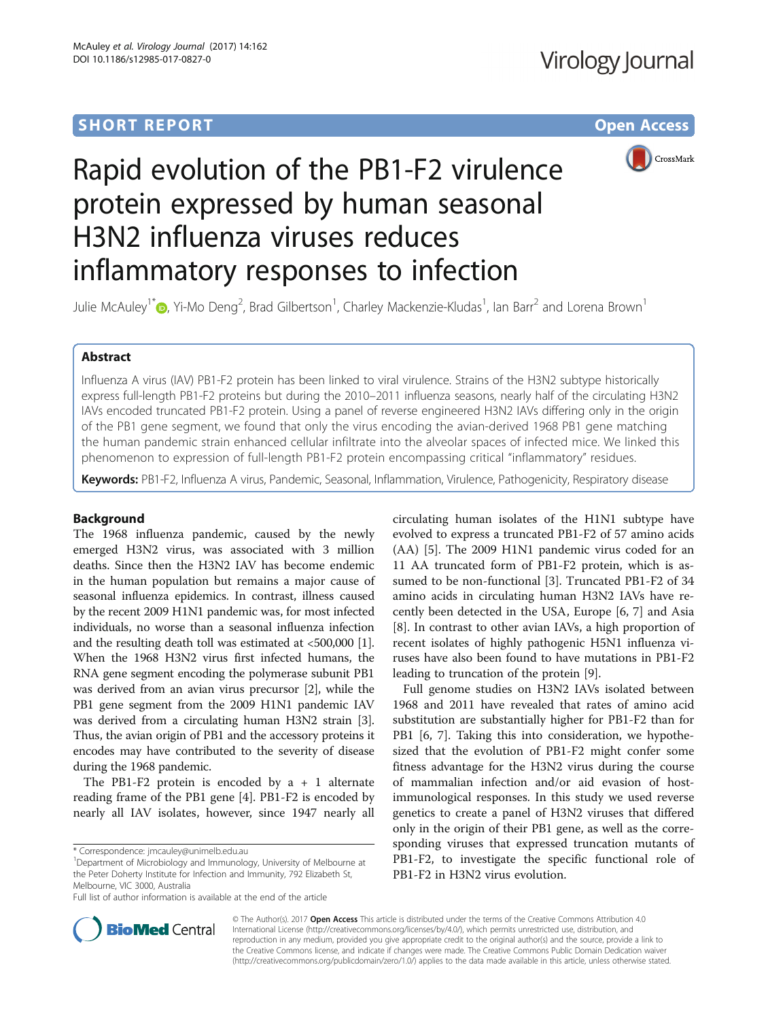# **SHORT REPORT SHORT CONSUMING THE CONSUMING THE CONSUMING THE CONSUMING THE CONSUMING THE CONSUMING THE CONSUMING THE CONSUMING THE CONSUMING THE CONSUMING THE CONSUMING THE CONSUMING THE CONSUMING THE CONSUMING THE CONS**



# Rapid evolution of the PB1-F2 virulence protein expressed by human seasonal H3N2 influenza viruses reduces inflammatory responses to infection

Julie McAuley<sup>1\*</sup> (**p**[,](http://orcid.org/0000-0003-2493-3465) Yi-Mo Deng<sup>2</sup>, Brad Gilbertson<sup>1</sup>, Charley Mackenzie-Kludas<sup>1</sup>, Ian Barr<sup>2</sup> and Lorena Brown<sup>1</sup>

# Abstract

Influenza A virus (IAV) PB1-F2 protein has been linked to viral virulence. Strains of the H3N2 subtype historically express full-length PB1-F2 proteins but during the 2010–2011 influenza seasons, nearly half of the circulating H3N2 IAVs encoded truncated PB1-F2 protein. Using a panel of reverse engineered H3N2 IAVs differing only in the origin of the PB1 gene segment, we found that only the virus encoding the avian-derived 1968 PB1 gene matching the human pandemic strain enhanced cellular infiltrate into the alveolar spaces of infected mice. We linked this phenomenon to expression of full-length PB1-F2 protein encompassing critical "inflammatory" residues.

Keywords: PB1-F2, Influenza A virus, Pandemic, Seasonal, Inflammation, Virulence, Pathogenicity, Respiratory disease

# Background

The 1968 influenza pandemic, caused by the newly emerged H3N2 virus, was associated with 3 million deaths. Since then the H3N2 IAV has become endemic in the human population but remains a major cause of seasonal influenza epidemics. In contrast, illness caused by the recent 2009 H1N1 pandemic was, for most infected individuals, no worse than a seasonal influenza infection and the resulting death toll was estimated at <500,000 [[1](#page-4-0)]. When the 1968 H3N2 virus first infected humans, the RNA gene segment encoding the polymerase subunit PB1 was derived from an avian virus precursor [[2\]](#page-4-0), while the PB1 gene segment from the 2009 H1N1 pandemic IAV was derived from a circulating human H3N2 strain [[3](#page-4-0)]. Thus, the avian origin of PB1 and the accessory proteins it encodes may have contributed to the severity of disease during the 1968 pandemic.

The PB1-F2 protein is encoded by  $a + 1$  alternate reading frame of the PB1 gene [\[4](#page-4-0)]. PB1-F2 is encoded by nearly all IAV isolates, however, since 1947 nearly all

<sup>1</sup>Department of Microbiology and Immunology, University of Melbourne at the Peter Doherty Institute for Infection and Immunity, 792 Elizabeth St, Melbourne, VIC 3000, Australia

Full list of author information is available at the end of the article

circulating human isolates of the H1N1 subtype have evolved to express a truncated PB1-F2 of 57 amino acids (AA) [[5\]](#page-4-0). The 2009 H1N1 pandemic virus coded for an 11 AA truncated form of PB1-F2 protein, which is assumed to be non-functional [[3\]](#page-4-0). Truncated PB1-F2 of 34 amino acids in circulating human H3N2 IAVs have recently been detected in the USA, Europe [[6, 7\]](#page-4-0) and Asia [[8\]](#page-4-0). In contrast to other avian IAVs, a high proportion of recent isolates of highly pathogenic H5N1 influenza viruses have also been found to have mutations in PB1-F2 leading to truncation of the protein [\[9\]](#page-5-0).

Full genome studies on H3N2 IAVs isolated between 1968 and 2011 have revealed that rates of amino acid substitution are substantially higher for PB1-F2 than for PB1 [\[6](#page-4-0), [7](#page-4-0)]. Taking this into consideration, we hypothesized that the evolution of PB1-F2 might confer some fitness advantage for the H3N2 virus during the course of mammalian infection and/or aid evasion of hostimmunological responses. In this study we used reverse genetics to create a panel of H3N2 viruses that differed only in the origin of their PB1 gene, as well as the corresponding viruses that expressed truncation mutants of PB1-F2, to investigate the specific functional role of PB1-F2 in H3N2 virus evolution.



© The Author(s). 2017 **Open Access** This article is distributed under the terms of the Creative Commons Attribution 4.0 International License [\(http://creativecommons.org/licenses/by/4.0/](http://creativecommons.org/licenses/by/4.0/)), which permits unrestricted use, distribution, and reproduction in any medium, provided you give appropriate credit to the original author(s) and the source, provide a link to the Creative Commons license, and indicate if changes were made. The Creative Commons Public Domain Dedication waiver [\(http://creativecommons.org/publicdomain/zero/1.0/](http://creativecommons.org/publicdomain/zero/1.0/)) applies to the data made available in this article, unless otherwise stated.

<sup>\*</sup> Correspondence: [jmcauley@unimelb.edu.au](mailto:jmcauley@unimelb.edu.au) <sup>1</sup>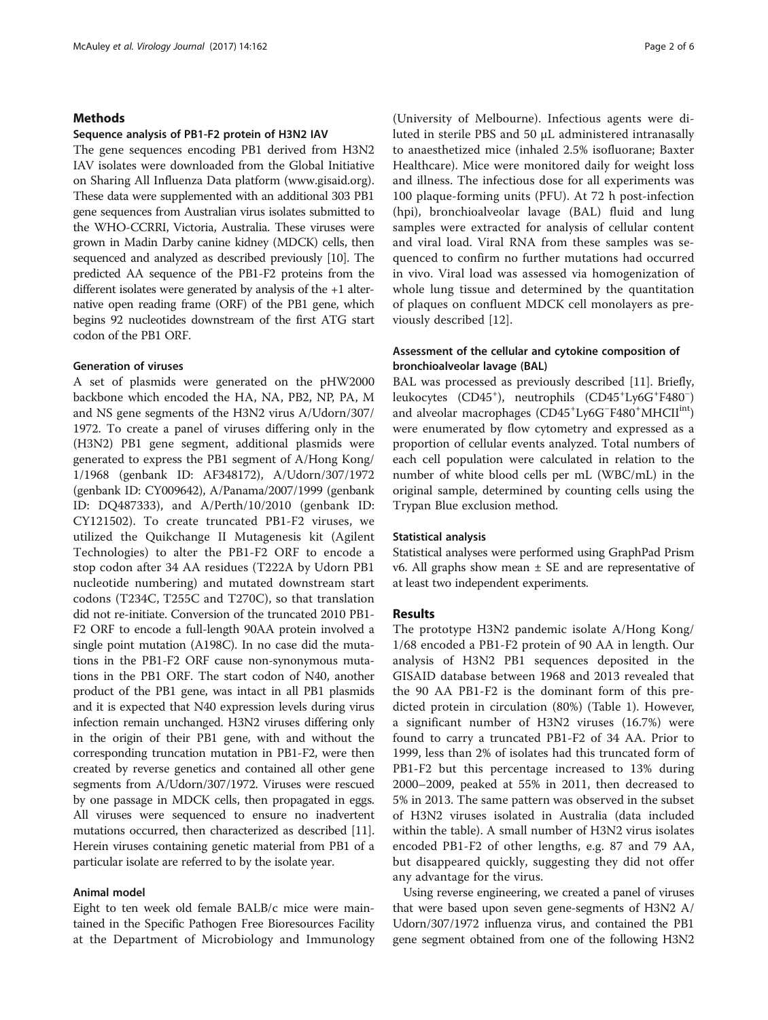# Methods

## Sequence analysis of PB1-F2 protein of H3N2 IAV

The gene sequences encoding PB1 derived from H3N2 IAV isolates were downloaded from the Global Initiative on Sharing All Influenza Data platform ([www.gisaid.org](http://www.gisaid.org)). These data were supplemented with an additional 303 PB1 gene sequences from Australian virus isolates submitted to the WHO-CCRRI, Victoria, Australia. These viruses were grown in Madin Darby canine kidney (MDCK) cells, then sequenced and analyzed as described previously [[10](#page-5-0)]. The predicted AA sequence of the PB1-F2 proteins from the different isolates were generated by analysis of the +1 alternative open reading frame (ORF) of the PB1 gene, which begins 92 nucleotides downstream of the first ATG start codon of the PB1 ORF.

# Generation of viruses

A set of plasmids were generated on the pHW2000 backbone which encoded the HA, NA, PB2, NP, PA, M and NS gene segments of the H3N2 virus A/Udorn/307/ 1972. To create a panel of viruses differing only in the (H3N2) PB1 gene segment, additional plasmids were generated to express the PB1 segment of A/Hong Kong/ 1/1968 (genbank ID: AF348172), A/Udorn/307/1972 (genbank ID: CY009642), A/Panama/2007/1999 (genbank ID: DQ487333), and A/Perth/10/2010 (genbank ID: CY121502). To create truncated PB1-F2 viruses, we utilized the Quikchange II Mutagenesis kit (Agilent Technologies) to alter the PB1-F2 ORF to encode a stop codon after 34 AA residues (T222A by Udorn PB1 nucleotide numbering) and mutated downstream start codons (T234C, T255C and T270C), so that translation did not re-initiate. Conversion of the truncated 2010 PB1- F2 ORF to encode a full-length 90AA protein involved a single point mutation (A198C). In no case did the mutations in the PB1-F2 ORF cause non-synonymous mutations in the PB1 ORF. The start codon of N40, another product of the PB1 gene, was intact in all PB1 plasmids and it is expected that N40 expression levels during virus infection remain unchanged. H3N2 viruses differing only in the origin of their PB1 gene, with and without the corresponding truncation mutation in PB1-F2, were then created by reverse genetics and contained all other gene segments from A/Udorn/307/1972. Viruses were rescued by one passage in MDCK cells, then propagated in eggs. All viruses were sequenced to ensure no inadvertent mutations occurred, then characterized as described [[11](#page-5-0)]. Herein viruses containing genetic material from PB1 of a particular isolate are referred to by the isolate year.

# Animal model

Eight to ten week old female BALB/c mice were maintained in the Specific Pathogen Free Bioresources Facility at the Department of Microbiology and Immunology

(University of Melbourne). Infectious agents were diluted in sterile PBS and 50 μL administered intranasally to anaesthetized mice (inhaled 2.5% isofluorane; Baxter Healthcare). Mice were monitored daily for weight loss and illness. The infectious dose for all experiments was 100 plaque-forming units (PFU). At 72 h post-infection (hpi), bronchioalveolar lavage (BAL) fluid and lung samples were extracted for analysis of cellular content and viral load. Viral RNA from these samples was sequenced to confirm no further mutations had occurred in vivo. Viral load was assessed via homogenization of whole lung tissue and determined by the quantitation of plaques on confluent MDCK cell monolayers as previously described [\[12](#page-5-0)].

# Assessment of the cellular and cytokine composition of bronchioalveolar lavage (BAL)

BAL was processed as previously described [\[11](#page-5-0)]. Briefly, leukocytes (CD45<sup>+</sup>), neutrophils (CD45<sup>+</sup>Ly6G<sup>+</sup>F480<sup>-</sup>) and alveolar macrophages (CD45<sup>+</sup>Ly6G<sup>-</sup>F480<sup>+</sup>MHCII<sup>int</sup>) were enumerated by flow cytometry and expressed as a proportion of cellular events analyzed. Total numbers of each cell population were calculated in relation to the number of white blood cells per mL (WBC/mL) in the original sample, determined by counting cells using the Trypan Blue exclusion method.

## Statistical analysis

Statistical analyses were performed using GraphPad Prism v6. All graphs show mean  $\pm$  SE and are representative of at least two independent experiments.

# Results

The prototype H3N2 pandemic isolate A/Hong Kong/ 1/68 encoded a PB1-F2 protein of 90 AA in length. Our analysis of H3N2 PB1 sequences deposited in the GISAID database between 1968 and 2013 revealed that the 90 AA PB1-F2 is the dominant form of this predicted protein in circulation (80%) (Table [1\)](#page-2-0). However, a significant number of H3N2 viruses (16.7%) were found to carry a truncated PB1-F2 of 34 AA. Prior to 1999, less than 2% of isolates had this truncated form of PB1-F2 but this percentage increased to 13% during 2000–2009, peaked at 55% in 2011, then decreased to 5% in 2013. The same pattern was observed in the subset of H3N2 viruses isolated in Australia (data included within the table). A small number of H3N2 virus isolates encoded PB1-F2 of other lengths, e.g. 87 and 79 AA, but disappeared quickly, suggesting they did not offer any advantage for the virus.

Using reverse engineering, we created a panel of viruses that were based upon seven gene-segments of H3N2 A/ Udorn/307/1972 influenza virus, and contained the PB1 gene segment obtained from one of the following H3N2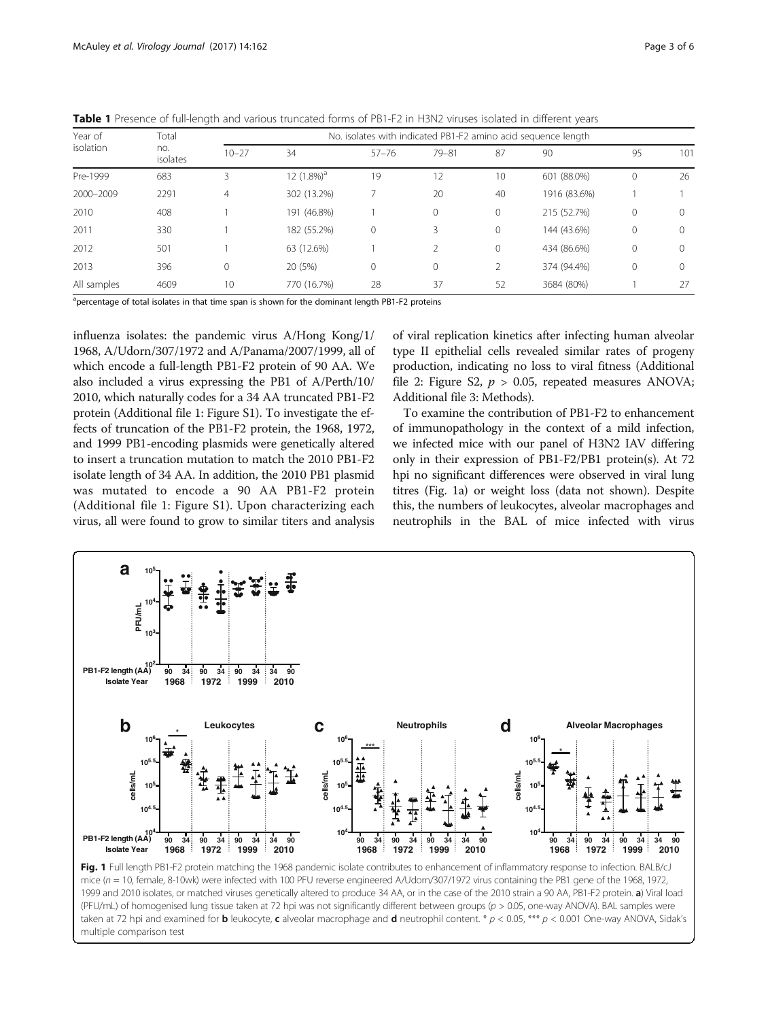<span id="page-2-0"></span>Table 1 Presence of full-length and various truncated forms of PB1-F2 in H3N2 viruses isolated in different years

| Year of<br>isolation | Total<br>no.<br>isolates | No. isolates with indicated PB1-F2 amino acid sequence length |                |           |           |          |              |              |          |
|----------------------|--------------------------|---------------------------------------------------------------|----------------|-----------|-----------|----------|--------------|--------------|----------|
|                      |                          | $10 - 27$                                                     | 34             | $57 - 76$ | $79 - 81$ | 87       | 90           | 95           | 101      |
| Pre-1999             | 683                      | 3                                                             | 12 $(1.8\%)^3$ | 19        | 12        | 10       | 601 (88.0%)  | $\mathbf{0}$ | 26       |
| 2000-2009            | 2291                     | 4                                                             | 302 (13.2%)    |           | 20        | 40       | 1916 (83.6%) |              |          |
| 2010                 | 408                      |                                                               | 191 (46.8%)    |           | $\Omega$  | $\Omega$ | 215 (52.7%)  | $\mathbf{0}$ | $\Omega$ |
| 2011                 | 330                      |                                                               | 182 (55.2%)    | 0         | 3         | 0        | 144 (43.6%)  | $\mathbf 0$  | $\Omega$ |
| 2012                 | 501                      |                                                               | 63 (12.6%)     |           |           | $\Omega$ | 434 (86.6%)  | $\mathbf{0}$ | $\Omega$ |
| 2013                 | 396                      | 0                                                             | 20 (5%)        | 0         | $\Omega$  |          | 374 (94.4%)  | $\Omega$     | $\Omega$ |
| All samples          | 4609                     | 10                                                            | 770 (16.7%)    | 28        | 37        | 52       | 3684 (80%)   |              | 27       |

<sup>a</sup>percentage of total isolates in that time span is shown for the dominant length PB1-F2 proteins

influenza isolates: the pandemic virus A/Hong Kong/1/ 1968, A/Udorn/307/1972 and A/Panama/2007/1999, all of which encode a full-length PB1-F2 protein of 90 AA. We also included a virus expressing the PB1 of A/Perth/10/ 2010, which naturally codes for a 34 AA truncated PB1-F2 protein (Additional file [1:](#page-4-0) Figure S1). To investigate the effects of truncation of the PB1-F2 protein, the 1968, 1972, and 1999 PB1-encoding plasmids were genetically altered to insert a truncation mutation to match the 2010 PB1-F2 isolate length of 34 AA. In addition, the 2010 PB1 plasmid was mutated to encode a 90 AA PB1-F2 protein (Additional file [1:](#page-4-0) Figure S1). Upon characterizing each virus, all were found to grow to similar titers and analysis of viral replication kinetics after infecting human alveolar type II epithelial cells revealed similar rates of progeny production, indicating no loss to viral fitness (Additional file [2](#page-4-0): Figure S2,  $p > 0.05$ , repeated measures ANOVA; Additional file [3](#page-4-0): Methods).

To examine the contribution of PB1-F2 to enhancement of immunopathology in the context of a mild infection, we infected mice with our panel of H3N2 IAV differing only in their expression of PB1-F2/PB1 protein(s). At 72 hpi no significant differences were observed in viral lung titres (Fig. 1a) or weight loss (data not shown). Despite this, the numbers of leukocytes, alveolar macrophages and neutrophils in the BAL of mice infected with virus



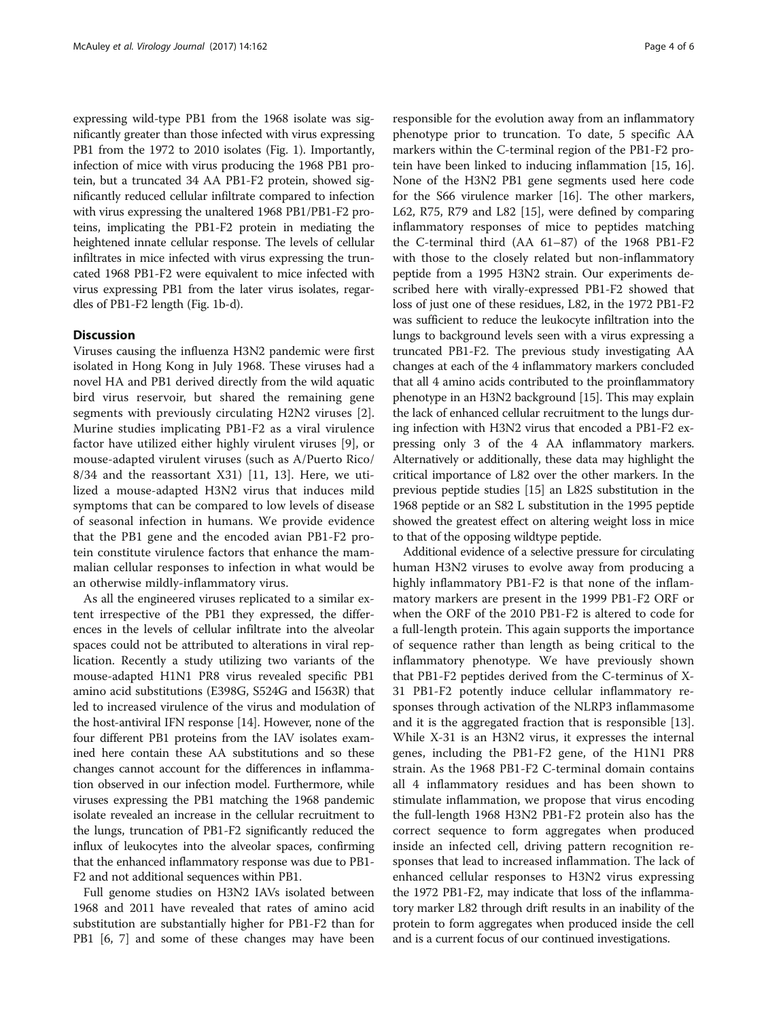expressing wild-type PB1 from the 1968 isolate was significantly greater than those infected with virus expressing PB1 from the 1972 to 2010 isolates (Fig. [1](#page-2-0)). Importantly, infection of mice with virus producing the 1968 PB1 protein, but a truncated 34 AA PB1-F2 protein, showed significantly reduced cellular infiltrate compared to infection with virus expressing the unaltered 1968 PB1/PB1-F2 proteins, implicating the PB1-F2 protein in mediating the heightened innate cellular response. The levels of cellular infiltrates in mice infected with virus expressing the truncated 1968 PB1-F2 were equivalent to mice infected with virus expressing PB1 from the later virus isolates, regardles of PB1-F2 length (Fig. [1b-d](#page-2-0)).

# **Discussion**

Viruses causing the influenza H3N2 pandemic were first isolated in Hong Kong in July 1968. These viruses had a novel HA and PB1 derived directly from the wild aquatic bird virus reservoir, but shared the remaining gene segments with previously circulating H2N2 viruses [\[2](#page-4-0)]. Murine studies implicating PB1-F2 as a viral virulence factor have utilized either highly virulent viruses [[9\]](#page-5-0), or mouse-adapted virulent viruses (such as A/Puerto Rico/  $8/34$  and the reassortant X31) [[11, 13\]](#page-5-0). Here, we utilized a mouse-adapted H3N2 virus that induces mild symptoms that can be compared to low levels of disease of seasonal infection in humans. We provide evidence that the PB1 gene and the encoded avian PB1-F2 protein constitute virulence factors that enhance the mammalian cellular responses to infection in what would be an otherwise mildly-inflammatory virus.

As all the engineered viruses replicated to a similar extent irrespective of the PB1 they expressed, the differences in the levels of cellular infiltrate into the alveolar spaces could not be attributed to alterations in viral replication. Recently a study utilizing two variants of the mouse-adapted H1N1 PR8 virus revealed specific PB1 amino acid substitutions (E398G, S524G and I563R) that led to increased virulence of the virus and modulation of the host-antiviral IFN response [[14](#page-5-0)]. However, none of the four different PB1 proteins from the IAV isolates examined here contain these AA substitutions and so these changes cannot account for the differences in inflammation observed in our infection model. Furthermore, while viruses expressing the PB1 matching the 1968 pandemic isolate revealed an increase in the cellular recruitment to the lungs, truncation of PB1-F2 significantly reduced the influx of leukocytes into the alveolar spaces, confirming that the enhanced inflammatory response was due to PB1- F2 and not additional sequences within PB1.

Full genome studies on H3N2 IAVs isolated between 1968 and 2011 have revealed that rates of amino acid substitution are substantially higher for PB1-F2 than for PB1 [[6, 7](#page-4-0)] and some of these changes may have been

responsible for the evolution away from an inflammatory phenotype prior to truncation. To date, 5 specific AA markers within the C-terminal region of the PB1-F2 protein have been linked to inducing inflammation [\[15](#page-5-0), [16](#page-5-0)]. None of the H3N2 PB1 gene segments used here code for the S66 virulence marker [[16](#page-5-0)]. The other markers, L62, R75, R79 and L82 [[15\]](#page-5-0), were defined by comparing inflammatory responses of mice to peptides matching the C-terminal third (AA 61–87) of the 1968 PB1-F2 with those to the closely related but non-inflammatory peptide from a 1995 H3N2 strain. Our experiments described here with virally-expressed PB1-F2 showed that loss of just one of these residues, L82, in the 1972 PB1-F2 was sufficient to reduce the leukocyte infiltration into the lungs to background levels seen with a virus expressing a truncated PB1-F2. The previous study investigating AA changes at each of the 4 inflammatory markers concluded that all 4 amino acids contributed to the proinflammatory phenotype in an H3N2 background [\[15](#page-5-0)]. This may explain the lack of enhanced cellular recruitment to the lungs during infection with H3N2 virus that encoded a PB1-F2 expressing only 3 of the 4 AA inflammatory markers. Alternatively or additionally, these data may highlight the critical importance of L82 over the other markers. In the previous peptide studies [[15\]](#page-5-0) an L82S substitution in the 1968 peptide or an S82 L substitution in the 1995 peptide showed the greatest effect on altering weight loss in mice to that of the opposing wildtype peptide.

Additional evidence of a selective pressure for circulating human H3N2 viruses to evolve away from producing a highly inflammatory PB1-F2 is that none of the inflammatory markers are present in the 1999 PB1-F2 ORF or when the ORF of the 2010 PB1-F2 is altered to code for a full-length protein. This again supports the importance of sequence rather than length as being critical to the inflammatory phenotype. We have previously shown that PB1-F2 peptides derived from the C-terminus of X-31 PB1-F2 potently induce cellular inflammatory responses through activation of the NLRP3 inflammasome and it is the aggregated fraction that is responsible [\[13](#page-5-0)]. While X-31 is an H3N2 virus, it expresses the internal genes, including the PB1-F2 gene, of the H1N1 PR8 strain. As the 1968 PB1-F2 C-terminal domain contains all 4 inflammatory residues and has been shown to stimulate inflammation, we propose that virus encoding the full-length 1968 H3N2 PB1-F2 protein also has the correct sequence to form aggregates when produced inside an infected cell, driving pattern recognition responses that lead to increased inflammation. The lack of enhanced cellular responses to H3N2 virus expressing the 1972 PB1-F2, may indicate that loss of the inflammatory marker L82 through drift results in an inability of the protein to form aggregates when produced inside the cell and is a current focus of our continued investigations.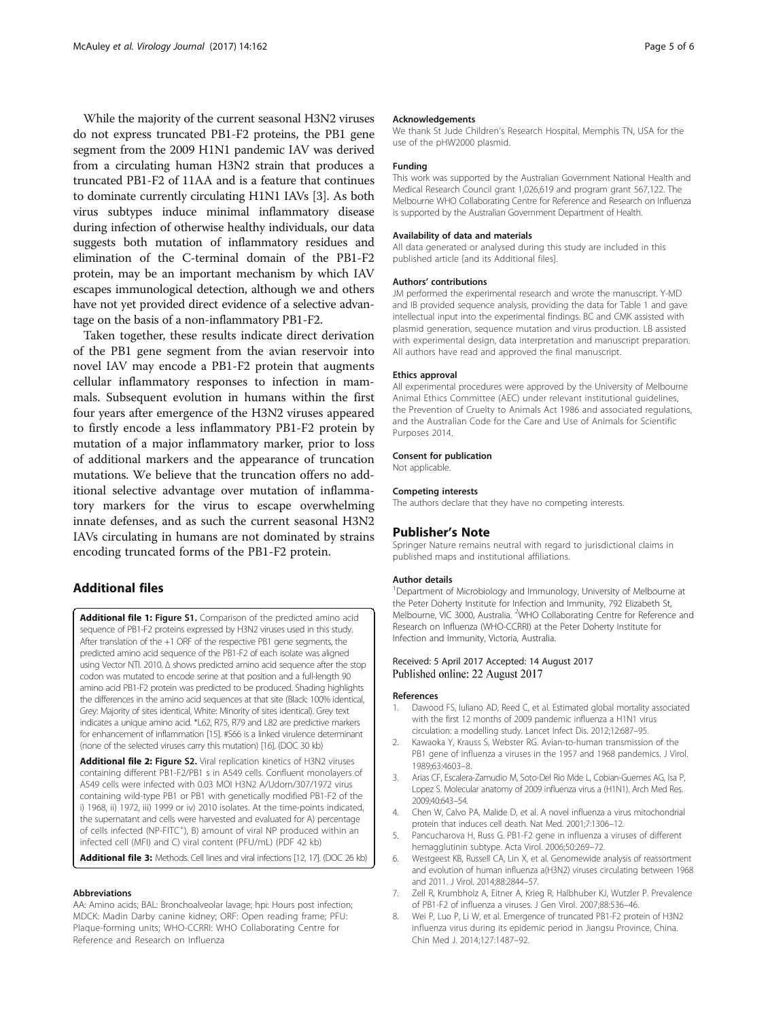<span id="page-4-0"></span>While the majority of the current seasonal H3N2 viruses do not express truncated PB1-F2 proteins, the PB1 gene segment from the 2009 H1N1 pandemic IAV was derived from a circulating human H3N2 strain that produces a truncated PB1-F2 of 11AA and is a feature that continues to dominate currently circulating H1N1 IAVs [3]. As both virus subtypes induce minimal inflammatory disease during infection of otherwise healthy individuals, our data suggests both mutation of inflammatory residues and elimination of the C-terminal domain of the PB1-F2 protein, may be an important mechanism by which IAV escapes immunological detection, although we and others have not yet provided direct evidence of a selective advantage on the basis of a non-inflammatory PB1-F2.

Taken together, these results indicate direct derivation of the PB1 gene segment from the avian reservoir into novel IAV may encode a PB1-F2 protein that augments cellular inflammatory responses to infection in mammals. Subsequent evolution in humans within the first four years after emergence of the H3N2 viruses appeared to firstly encode a less inflammatory PB1-F2 protein by mutation of a major inflammatory marker, prior to loss of additional markers and the appearance of truncation mutations. We believe that the truncation offers no additional selective advantage over mutation of inflammatory markers for the virus to escape overwhelming innate defenses, and as such the current seasonal H3N2 IAVs circulating in humans are not dominated by strains encoding truncated forms of the PB1-F2 protein.

# Additional files

[Additional file 1:](dx.doi.org/10.1186/s12985-017-0827-0) Figure S1. Comparison of the predicted amino acid sequence of PB1-F2 proteins expressed by H3N2 viruses used in this study. After translation of the +1 ORF of the respective PB1 gene segments, the predicted amino acid sequence of the PB1-F2 of each isolate was aligned using Vector NTI. 2010. Δ shows predicted amino acid sequence after the stop codon was mutated to encode serine at that position and a full-length 90 amino acid PB1-F2 protein was predicted to be produced. Shading highlights the differences in the amino acid sequences at that site (Black: 100% identical, Grey: Majority of sites identical, White: Minority of sites identical). Grey text indicates a unique amino acid. \*L62, R75, R79 and L82 are predictive markers for enhancement of inflammation [\[15\]](#page-5-0). #S66 is a linked virulence determinant (none of the selected viruses carry this mutation) [\[16\]](#page-5-0). (DOC 30 kb)

[Additional file 2:](dx.doi.org/10.1186/s12985-017-0827-0) Figure S2. Viral replication kinetics of H3N2 viruses containing different PB1-F2/PB1 s in A549 cells. Confluent monolayers of A549 cells were infected with 0.03 MOI H3N2 A/Udorn/307/1972 virus containing wild-type PB1 or PB1 with genetically modified PB1-F2 of the i) 1968, ii) 1972, iii) 1999 or iv) 2010 isolates. At the time-points indicated, the supernatant and cells were harvested and evaluated for A) percentage of cells infected (NP-FITC<sup>+</sup>), B) amount of viral NP produced within an infected cell (MFI) and C) viral content (PFU/mL) (PDF 42 kb)

[Additional file 3:](dx.doi.org/10.1186/s12985-017-0827-0) Methods. Cell lines and viral infections [[12](#page-5-0), [17\]](#page-5-0). (DOC 26 kb)

## Abbreviations

AA: Amino acids; BAL: Bronchoalveolar lavage; hpi: Hours post infection; MDCK: Madin Darby canine kidney; ORF: Open reading frame; PFU: Plaque-forming units; WHO-CCRRI: WHO Collaborating Centre for Reference and Research on Influenza

#### Acknowledgements

We thank St Jude Children's Research Hospital, Memphis TN, USA for the use of the pHW2000 plasmid.

#### Funding

This work was supported by the Australian Government National Health and Medical Research Council grant 1,026,619 and program grant 567,122. The Melbourne WHO Collaborating Centre for Reference and Research on Influenza is supported by the Australian Government Department of Health.

#### Availability of data and materials

All data generated or analysed during this study are included in this published article [and its Additional files].

#### Authors' contributions

JM performed the experimental research and wrote the manuscript. Y-MD and IB provided sequence analysis, providing the data for Table [1](#page-2-0) and gave intellectual input into the experimental findings. BC and CMK assisted with plasmid generation, sequence mutation and virus production. LB assisted with experimental design, data interpretation and manuscript preparation. All authors have read and approved the final manuscript.

#### Ethics approval

All experimental procedures were approved by the University of Melbourne Animal Ethics Committee (AEC) under relevant institutional guidelines, the Prevention of Cruelty to Animals Act 1986 and associated regulations, and the Australian Code for the Care and Use of Animals for Scientific Purposes 2014.

## Consent for publication

Not applicable.

#### Competing interests

The authors declare that they have no competing interests.

#### Publisher's Note

Springer Nature remains neutral with regard to jurisdictional claims in published maps and institutional affiliations.

#### Author details

<sup>1</sup>Department of Microbiology and Immunology, University of Melbourne at the Peter Doherty Institute for Infection and Immunity, 792 Elizabeth St, Melbourne, VIC 3000, Australia. <sup>2</sup>WHO Collaborating Centre for Reference and Research on Influenza (WHO-CCRRI) at the Peter Doherty Institute for Infection and Immunity, Victoria, Australia.

## Received: 5 April 2017 Accepted: 14 August 2017 Published online: 22 August 2017

#### References

- 1. Dawood FS, Iuliano AD, Reed C, et al. Estimated global mortality associated with the first 12 months of 2009 pandemic influenza a H1N1 virus circulation: a modelling study. Lancet Infect Dis. 2012;12:687–95.
- 2. Kawaoka Y, Krauss S, Webster RG. Avian-to-human transmission of the PB1 gene of influenza a viruses in the 1957 and 1968 pandemics. J Virol. 1989;63:4603–8.
- 3. Arias CF, Escalera-Zamudio M, Soto-Del Rio Mde L, Cobian-Guemes AG, Isa P, Lopez S. Molecular anatomy of 2009 influenza virus a (H1N1). Arch Med Res. 2009;40:643–54.
- 4. Chen W, Calvo PA, Malide D, et al. A novel influenza a virus mitochondrial protein that induces cell death. Nat Med. 2001;7:1306–12.
- 5. Pancucharova H, Russ G. PB1-F2 gene in influenza a viruses of different hemagglutinin subtype. Acta Virol. 2006;50:269–72.
- 6. Westgeest KB, Russell CA, Lin X, et al. Genomewide analysis of reassortment and evolution of human influenza a(H3N2) viruses circulating between 1968 and 2011. J Virol. 2014;88:2844–57.
- 7. Zell R, Krumbholz A, Eitner A, Krieg R, Halbhuber KJ, Wutzler P. Prevalence of PB1-F2 of influenza a viruses. J Gen Virol. 2007;88:536–46.
- 8. Wei P, Luo P, Li W, et al. Emergence of truncated PB1-F2 protein of H3N2 influenza virus during its epidemic period in Jiangsu Province, China. Chin Med J. 2014;127:1487–92.